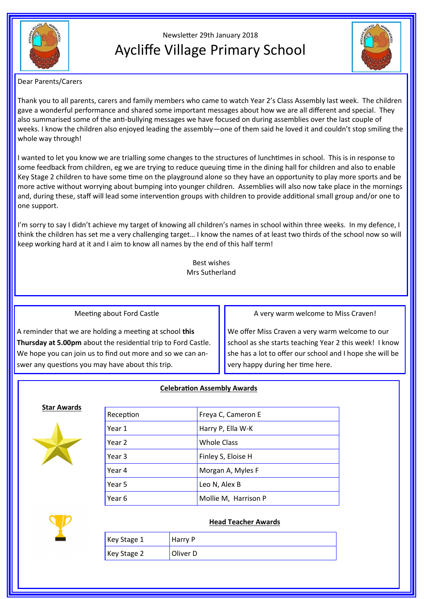

# Newsletter 29th January 2018 Aycliffe Village Primary School



## Dear Parents/Carers

Thank you to all parents, carers and family members who came to watch Year 2's Class Assembly last week. The children gave a wonderful performance and shared some important messages about how we are all different and special. They also summarised some of the anti-bullying messages we have focused on during assemblies over the last couple of weeks. I know the children also enjoyed leading the assembly—one of them said he loved it and couldn't stop smiling the whole way through!

I wanted to let you know we are trialling some changes to the structures of lunchtimes in school. This is in response to some feedback from children, eg we are trying to reduce queuing time in the dining hall for children and also to enable Key Stage 2 children to have some time on the playground alone so they have an opportunity to play more sports and be more active without worrying about bumping into younger children. Assemblies will also now take place in the mornings and, during these, staff will lead some intervention groups with children to provide additional small group and/or one to one support.

I'm sorry to say I didn't achieve my target of knowing all children's names in school within three weeks. In my defence, I think the children has set me a very challenging target… I know the names of at least two thirds of the school now so will keep working hard at it and I aim to know all names by the end of this half term!

> Best wishes Mrs Sutherland

Meeting about Ford Castle

A reminder that we are holding a meeting at school **this Thursday at 5.00pm** about the residential trip to Ford Castle. We hope you can join us to find out more and so we can answer any questions you may have about this trip.

A very warm welcome to Miss Craven!

We offer Miss Craven a very warm welcome to our school as she starts teaching Year 2 this week! I know she has a lot to offer our school and I hope she will be very happy during her time here.

# **Celebration Assembly Awards**

#### **Star Awards**



| Reception | Freya C, Cameron E   |
|-----------|----------------------|
| Year 1    | Harry P, Ella W-K    |
| Year 2    | <b>Whole Class</b>   |
| Year 3    | Finley S, Eloise H   |
| Year 4    | Morgan A, Myles F    |
| Year 5    | Leo N, Alex B        |
| Year 6    | Mollie M, Harrison P |



# **Head Teacher Awards**

| Key Stage 1 | Harry P  |
|-------------|----------|
| Key Stage 2 | Oliver D |